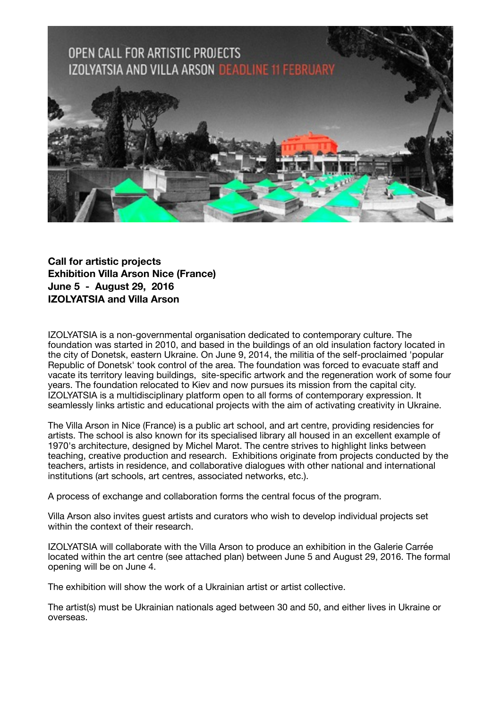

**Call for artistic projects Exhibition Villa Arson Nice (France) June 5 - August 29, 2016 IZOLYATSIA and Villa Arson**

IZOLYATSIA is a non-governmental organisation dedicated to contemporary culture. The foundation was started in 2010, and based in the buildings of an old insulation factory located in the city of Donetsk, eastern Ukraine. On June 9, 2014, the militia of the self-proclaimed 'popular Republic of Donetsk' took control of the area. The foundation was forced to evacuate staff and vacate its territory leaving buildings, site-specific artwork and the regeneration work of some four years. The foundation relocated to Kiev and now pursues its mission from the capital city. IZOLYATSIA is a multidisciplinary platform open to all forms of contemporary expression. It seamlessly links artistic and educational projects with the aim of activating creativity in Ukraine.

The Villa Arson in Nice (France) is a public art school, and art centre, providing residencies for artists. The school is also known for its specialised library all housed in an excellent example of 1970's architecture, designed by Michel Marot. The centre strives to highlight links between teaching, creative production and research. Exhibitions originate from projects conducted by the teachers, artists in residence, and collaborative dialogues with other national and international institutions (art schools, art centres, associated networks, etc.).

A process of exchange and collaboration forms the central focus of the program.

Villa Arson also invites guest artists and curators who wish to develop individual projects set within the context of their research.

IZOLYATSIA will collaborate with the Villa Arson to produce an exhibition in the Galerie Carrée located within the art centre (see attached plan) between June 5 and August 29, 2016. The formal opening will be on June 4.

The exhibition will show the work of a Ukrainian artist or artist collective.

The artist(s) must be Ukrainian nationals aged between 30 and 50, and either lives in Ukraine or overseas.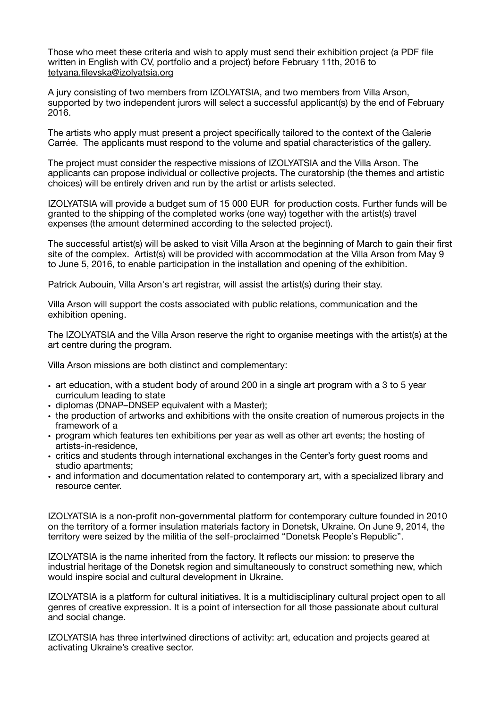Those who meet these criteria and wish to apply must send their exhibition project (a PDF file written in English with CV, portfolio and a project) before February 11th, 2016 to [tetyana.filevska@izolyatsia.org](mailto:tetyana.filevska@izolyatsia.org)

A jury consisting of two members from IZOLYATSIA, and two members from Villa Arson, supported by two independent jurors will select a successful applicant(s) by the end of February 2016.

The artists who apply must present a project specifically tailored to the context of the Galerie Carrée. The applicants must respond to the volume and spatial characteristics of the gallery.

The project must consider the respective missions of IZOLYATSIA and the Villa Arson. The applicants can propose individual or collective projects. The curatorship (the themes and artistic choices) will be entirely driven and run by the artist or artists selected.

IZOLYATSIA will provide a budget sum of 15 000 EUR for production costs. Further funds will be granted to the shipping of the completed works (one way) together with the artist(s) travel expenses (the amount determined according to the selected project).

The successful artist(s) will be asked to visit Villa Arson at the beginning of March to gain their first site of the complex. Artist(s) will be provided with accommodation at the Villa Arson from May 9 to June 5, 2016, to enable participation in the installation and opening of the exhibition.

Patrick Aubouin, Villa Arson's art registrar, will assist the artist(s) during their stay.

Villa Arson will support the costs associated with public relations, communication and the exhibition opening.

The IZOLYATSIA and the Villa Arson reserve the right to organise meetings with the artist(s) at the art centre during the program.

Villa Arson missions are both distinct and complementary:

- art education, with a student body of around 200 in a single art program with a 3 to 5 year curriculum leading to state
- diplomas (DNAP–DNSEP equivalent with a Master);
- the production of artworks and exhibitions with the onsite creation of numerous projects in the framework of a
- program which features ten exhibitions per year as well as other art events; the hosting of artists-in-residence,
- critics and students through international exchanges in the Center's forty guest rooms and studio apartments;
- and information and documentation related to contemporary art, with a specialized library and resource center.

IZOLYATSIA is a non-profit non-governmental platform for contemporary culture founded in 2010 on the territory of a former insulation materials factory in Donetsk, Ukraine. On June 9, 2014, the territory were seized by the militia of the self-proclaimed "Donetsk People's Republic".

IZOLYATSIA is the name inherited from the factory. It reflects our mission: to preserve the industrial heritage of the Donetsk region and simultaneously to construct something new, which would inspire social and cultural development in Ukraine.

IZOLYATSIA is a platform for cultural initiatives. It is a multidisciplinary cultural project open to all genres of creative expression. It is a point of intersection for all those passionate about cultural and social change.

IZOLYATSIA has three intertwined directions of activity: art, education and projects geared at activating Ukraine's creative sector.